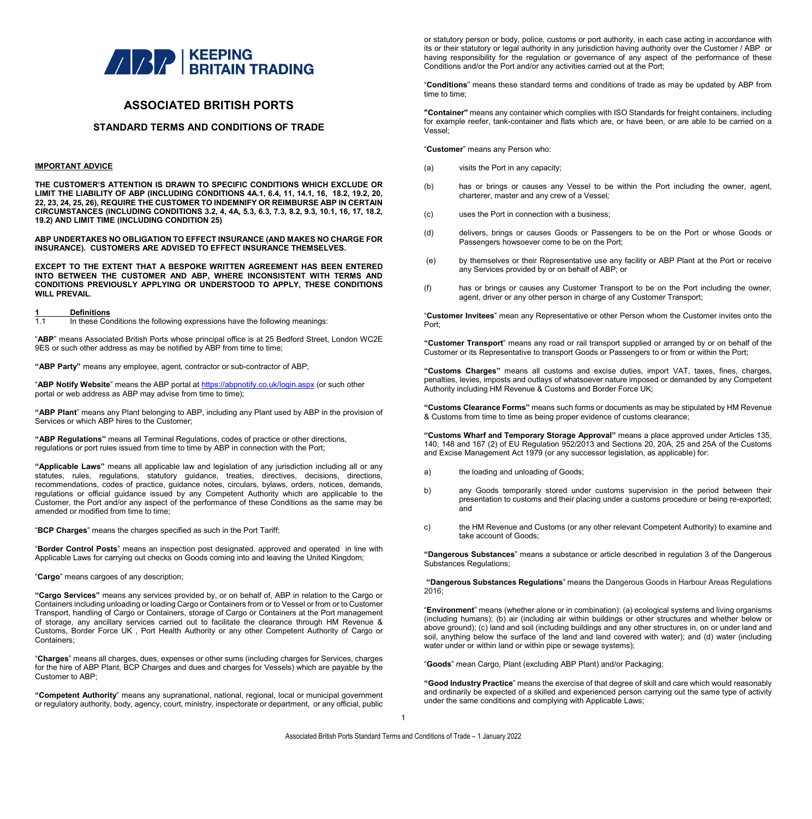

### **ASSOCIATED BRITISH PORTS**

### **STANDARD TERMS AND CONDITIONS OF TRADE**

#### **IMPORTANT ADVICE**

**THE CUSTOMER'S ATTENTION IS DRAWN TO SPECIFIC CONDITIONS WHICH EXCLUDE OR LIMIT THE LIABILITY OF ABP (INCLUDING CONDITIONS 4A.1, 6.4, 11, 14.1, 16, 18.2, 19.2, 20, 22, 23, 24, 25, 26), REQUIRE THE CUSTOMER TO INDEMNIFY OR REIMBURSE ABP IN CERTAIN CIRCUMSTANCES (INCLUDING CONDITIONS 3.2, 4, 4A, 5.3, 6.3, 7.3, 8.2, 9.3, 10.1, 16, 17, 18.2, 19.2) AND LIMIT TIME (INCLUDING CONDITION 25)**

**ABP UNDERTAKES NO OBLIGATION TO EFFECT INSURANCE (AND MAKES NO CHARGE FOR INSURANCE). CUSTOMERS ARE ADVISED TO EFFECT INSURANCE THEMSELVES.**

**EXCEPT TO THE EXTENT THAT A BESPOKE WRITTEN AGREEMENT HAS BEEN ENTERED INTO BETWEEN THE CUSTOMER AND ABP, WHERE INCONSISTENT WITH TERMS AND CONDITIONS PREVIOUSLY APPLYING OR UNDERSTOOD TO APPLY, THESE CONDITIONS WILL PREVAIL**.

### **1 Definitions**

In these Conditions the following expressions have the following meanings:

"**ABP**" means Associated British Ports whose principal office is at 25 Bedford Street, London WC2E 9ES or such other address as may be notified by ABP from time to time;

**"ABP Party"** means any employee, agent*,* contractor or sub-contractor of ABP;

"**ABP Notify Website**" means the ABP portal at <https://abpnotify.co.uk/login.aspx> (or such other portal or web address as ABP may advise from time to time);

**"ABP Plant**" means any Plant belonging to ABP, including any Plant used by ABP in the provision of Services or which ABP hires to the Customer;

**"ABP Regulations"** means all Terminal Regulations, codes of practice or other directions, regulations or port rules issued from time to time by ABP in connection with the Port;

**"Applicable Laws"** means all applicable law and legislation of any jurisdiction including all or any statutes, rules, regulations, statutory guidance, treaties, directives, decisions, directions, recommendations, codes of practice, guidance notes, circulars, bylaws, orders, notices, demands, regulations or official guidance issued by any Competent Authority which are applicable to the Customer, the Port and/or any aspect of the performance of these Conditions as the same may be amended or modified from time to time;

"**BCP Charges**" means the charges specified as such in the Port Tariff;

"**Border Control Posts**" means an inspection post designated. approved and operated in line with Applicable Laws for carrying out checks on Goods coming into and leaving the United Kingdom;

"**Cargo**" means cargoes of any description;

**"Cargo Services"** means any services provided by, or on behalf of, ABP in relation to the Cargo or Containers including unloading or loading Cargo or Containers from or to Vessel or from or to Customer Transport, handling of Cargo or Containers, storage of Cargo or Containers at the Port management of storage, any ancillary services carried out to facilitate the clearance through HM Revenue & Customs, Border Force UK , Port Health Authority or any other Competent Authority of Cargo or Containers;

"**Charges**" means all charges, dues, expenses or other sums (including charges for Services, charges for the hire of ABP Plant, BCP Charges and dues and charges for Vessels) which are payable by the Customer to ABP;

**"Competent Authority**" means any supranational, national, regional, local or municipal government or regulatory authority, body, agency, court, ministry, inspectorate or department, or any official, public

or statutory person or body, police, customs or port authority, in each case acting in accordance with its or their statutory or legal authority in any jurisdiction having authority over the Customer / ABP or having responsibility for the regulation or governance of any aspect of the performance of these Conditions and/or the Port and/or any activities carried out at the Port;

"**Conditions**" means these standard terms and conditions of trade as may be updated by ABP from time to time;

**"Container"** means any container which complies with ISO Standards for freight containers, including for example reefer, tank-container and flats which are, or have been, or are able to be carried on a Vessel;

"**Customer**" means any Person who:

- (a) visits the Port in any capacity;
- (b) has or brings or causes any Vessel to be within the Port including the owner, agent, charterer, master and any crew of a Vessel*;*
- (c) uses the Port in connection with a business;
- (d) delivers, brings or causes Goods or Passengers to be on the Port or whose Goods or Passengers howsoever come to be on the Port;
- (e) by themselves or their Representative use any facility or ABP Plant at the Port or receive any Services provided by or on behalf of ABP; or
- (f) has or brings or causes any Customer Transport to be on the Port including the owner, agent, driver or any other person in charge of any Customer Transport;

"**Customer Invitees**" mean any Representative or other Person whom the Customer invites onto the Port;

**"Customer Transport**" means any road or rail transport supplied or arranged by or on behalf of the Customer or its Representative to transport Goods or Passengers to or from or within the Port;

**"Customs Charges"** means all customs and excise duties, import VAT, taxes, fines, charges, penalties, levies, imposts and outlays of whatsoever nature imposed or demanded by any Competent Authority including HM Revenue & Customs and Border Force UK;

**"Customs Clearance Forms"** means such forms or documents as may be stipulated by HM Revenue & Customs from time to time as being proper evidence of customs clearance;

**"Customs Wharf and Temporary Storage Approval"** means a place approved under Articles 135, 140, 148 and 167 (2) of EU Regulation 952/2013 and Sections 20, 20A, 25 and 25A of the Customs and Excise Management Act 1979 (or any successor legislation, as applicable) for:

- a) the loading and unloading of Goods;
- b) any Goods temporarily stored under customs supervision in the period between their presentation to customs and their placing under a customs procedure or being re-exported; and
- c) the HM Revenue and Customs (or any other relevant Competent Authority) to examine and take account of Goods;

**"Dangerous Substances**" means a substance or article described in regulation 3 of the Dangerous Substances Regulations;

**"Dangerous Substances Regulations**" means the Dangerous Goods in Harbour Areas Regulations 2016;

"**Environment**" means (whether alone or in combination): (a) ecological systems and living organisms (including humans); (b) air (including air within buildings or other structures and whether below or above ground); (c) land and soil (including buildings and any other structures in, on or under land and soil, anything below the surface of the land and land covered with water); and (d) water (including water under or within land or within pipe or sewage systems);

"**Goods**" mean Cargo, Plant (excluding ABP Plant) and/or Packaging;

**"Good Industry Practice**" means the exercise of that degree of skill and care which would reasonably and ordinarily be expected of a skilled and experienced person carrying out the same type of activity under the same conditions and complying with Applicable Laws;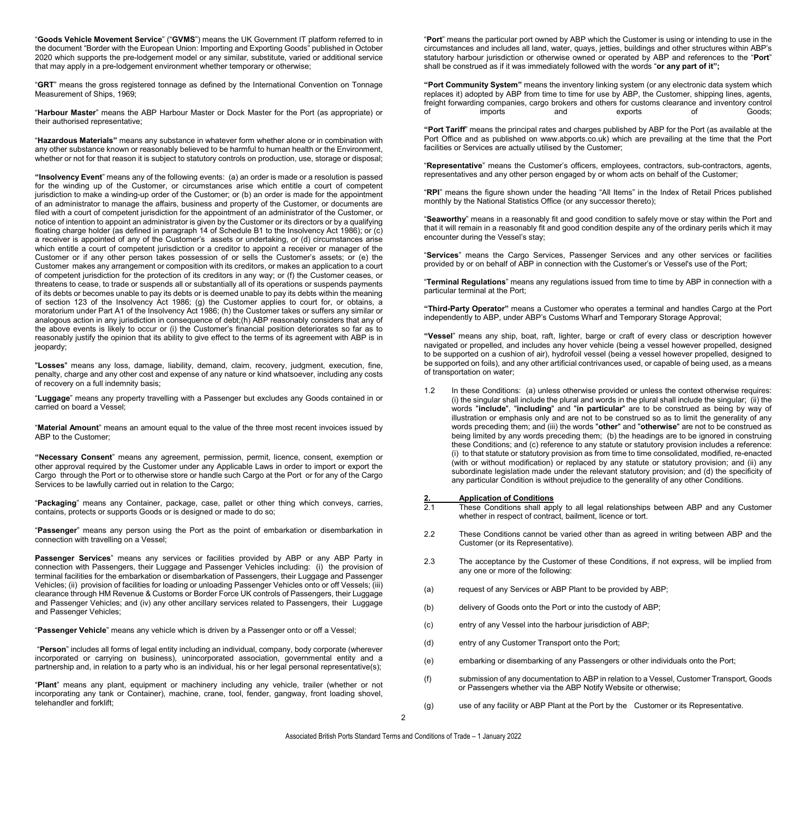"**Goods Vehicle Movement Service**" ("**GVMS**") means the UK Government IT platform referred to in the document "Border with the European Union: Importing and Exporting Goods" published in October 2020 which supports the pre-lodgement model or any similar, substitute, varied or additional service that may apply in a pre-lodgement environment whether temporary or otherwise;

"**GRT**" means the gross registered tonnage as defined by the International Convention on Tonnage Measurement of Ships, 1969;

"**Harbour Master**" means the ABP Harbour Master or Dock Master for the Port (as appropriate) or their authorised representative;

"**Hazardous Materials"** means any substance in whatever form whether alone or in combination with any other substance known or reasonably believed to be harmful to human health or the Environment, whether or not for that reason it is subject to statutory controls on production, use, storage or disposal;

**"Insolvency Event**" means any of the following events: (a) an order is made or a resolution is passed for the winding up of the Customer, or circumstances arise which entitle a court of competent jurisdiction to make a winding-up order of the Customer; or (b) an order is made for the appointment of an administrator to manage the affairs, business and property of the Customer, or documents are filed with a court of competent jurisdiction for the appointment of an administrator of the Customer, or notice of intention to appoint an administrator is given by the Customer or its directors or by a qualifying floating charge holder (as defined in paragraph 14 of Schedule B1 to the Insolvency Act 1986); or (c) a receiver is appointed of any of the Customer's assets or undertaking, or (d) circumstances arise which entitle a court of competent jurisdiction or a creditor to appoint a receiver or manager of the Customer or if any other person takes possession of or sells the Customer's assets; or (e) the Customer makes any arrangement or composition with its creditors, or makes an application to a court of competent jurisdiction for the protection of its creditors in any way; or (f) the Customer ceases, or threatens to cease, to trade or suspends all or substantially all of its operations or suspends payments of its debts or becomes unable to pay its debts or is deemed unable to pay its debts within the meaning of section 123 of the Insolvency Act 1986; (g) the Customer applies to court for, or obtains, a moratorium under Part A1 of the Insolvency Act 1986; (h) the Customer takes or suffers any similar or analogous action in any jurisdiction in consequence of debt;(h) ABP reasonably considers that any of the above events is likely to occur or (i) the Customer's financial position deteriorates so far as to reasonably justify the opinion that its ability to give effect to the terms of its agreement with ABP is in jeopardy;

"**Losses**" means any loss, damage, liability, demand, claim, recovery, judgment, execution, fine, penalty, charge and any other cost and expense of any nature or kind whatsoever, including any costs of recovery on a full indemnity basis;

"**Luggage**" means any property travelling with a Passenger but excludes any Goods contained in or carried on board a Vessel;

"**Material Amount**" means an amount equal to the value of the three most recent invoices issued by ABP to the Customer;

**"Necessary Consent**" means any agreement, permission, permit, licence, consent, exemption or other approval required by the Customer under any Applicable Laws in order to import or export the Cargo through the Port or to otherwise store or handle such Cargo at the Port or for any of the Cargo Services to be lawfully carried out in relation to the Cargo;

"**Packaging**" means any Container, package, case, pallet or other thing which conveys, carries, contains, protects or supports Goods or is designed or made to do so;

"**Passenger**" means any person using the Port as the point of embarkation or disembarkation in connection with travelling on a Vessel;

**Passenger Services**" means any services or facilities provided by ABP or any ABP Party in connection with Passengers, their Luggage and Passenger Vehicles including: (i) the provision of terminal facilities for the embarkation or disembarkation of Passengers, their Luggage and Passenger Vehicles; (ii) provision of facilities for loading or unloading Passenger Vehicles onto or off Vessels; (iii) clearance through HM Revenue & Customs or Border Force UK controls of Passengers, their Luggage and Passenger Vehicles; and (iv) any other ancillary services related to Passengers, their Luggage and Passenger Vehicles;

"**Passenger Vehicle**" means any vehicle which is driven by a Passenger onto or off a Vessel;

"**Person**" includes all forms of legal entity including an individual, company, body corporate (wherever incorporated or carrying on business), unincorporated association, governmental entity and a partnership and, in relation to a party who is an individual, his or her legal personal representative(s);

"**Plant**" means any plant, equipment or machinery including any vehicle, trailer (whether or not incorporating any tank or Container), machine, crane, tool, fender, gangway, front loading shovel, telehandler and forklift;

"**Port**" means the particular port owned by ABP which the Customer is using or intending to use in the circumstances and includes all land, water, quays, jetties, buildings and other structures within ABP's statutory harbour jurisdiction or otherwise owned or operated by ABP and references to the "**Port**" shall be construed as if it was immediately followed with the words "**or any part of it";**

**"Port Community System"** means the inventory linking system (or any electronic data system which replaces it) adopted by ABP from time to time for use by ABP, the Customer, shipping lines, agents, freight forwarding companies, cargo brokers and others for customs clearance and inventory control<br>of and exports of Goods; of imports and exports of Goods;

**"Port Tariff**" means the principal rates and charges published by ABP for the Port (as available at the Port Office and as published on www.abports.co.uk) which are prevailing at the time that the Port facilities or Services are actually utilised by the Customer;

"**Representative**" means the Customer's officers, employees, contractors, sub-contractors, agents, representatives and any other person engaged by or whom acts on behalf of the Customer;

"**RPI**" means the figure shown under the heading "All Items" in the Index of Retail Prices published monthly by the National Statistics Office (or any successor thereto);

"**Seaworthy**" means in a reasonably fit and good condition to safely move or stay within the Port and that it will remain in a reasonably fit and good condition despite any of the ordinary perils which it may encounter during the Vessel's stay;

"**Services**" means the Cargo Services, Passenger Services and any other services or facilities provided by or on behalf of ABP in connection with the Customer's or Vessel's use of the Port;

"**Terminal Regulations**" means any regulations issued from time to time by ABP in connection with a particular terminal at the Port;

**"Third-Party Operator"** means a Customer who operates a terminal and handles Cargo at the Port independently to ABP, under ABP's Customs Wharf and Temporary Storage Approval;

**"Vessel**" means any ship, boat, raft, lighter, barge or craft of every class or description however navigated or propelled, and includes any hover vehicle (being a vessel however propelled, designed to be supported on a cushion of air), hydrofoil vessel (being a vessel however propelled, designed to be supported on foils), and any other artificial contrivances used, or capable of being used, as a means of transportation on water;

1.2 In these Conditions: (a) unless otherwise provided or unless the context otherwise requires: (i) the singular shall include the plural and words in the plural shall include the singular; (ii) the words "**include**", "**including**" and "**in particular**" are to be construed as being by way of illustration or emphasis only and are not to be construed so as to limit the generality of any words preceding them; and (iii) the words "**other**" and "**otherwise**" are not to be construed as being limited by any words preceding them; (b) the headings are to be ignored in construing these Conditions; and (c) reference to any statute or statutory provision includes a reference: (i) to that statute or statutory provision as from time to time consolidated, modified, re-enacted (with or without modification) or replaced by any statute or statutory provision; and (ii) any subordinate legislation made under the relevant statutory provision; and (d) the specificity of any particular Condition is without prejudice to the generality of any other Conditions.

# **2. Application of Conditions**<br>2.1 These Conditions shall ann

- These Conditions shall apply to all legal relationships between ABP and any Customer whether in respect of contract, bailment, licence or tort.
- 2.2 These Conditions cannot be varied other than as agreed in writing between ABP and the Customer (or its Representative).
- 2.3 The acceptance by the Customer of these Conditions, if not express, will be implied from any one or more of the following:
- (a) request of any Services or ABP Plant to be provided by ABP;
- (b) delivery of Goods onto the Port or into the custody of ABP;
- (c) entry of any Vessel into the harbour jurisdiction of ABP;
- (d) entry of any Customer Transport onto the Port;
- (e) embarking or disembarking of any Passengers or other individuals onto the Port;
- (f) submission of any documentation to ABP in relation to a Vessel, Customer Transport, Goods or Passengers whether via the ABP Notify Website or otherwise;
- (g) use of any facility or ABP Plant at the Port by the Customer or its Representative.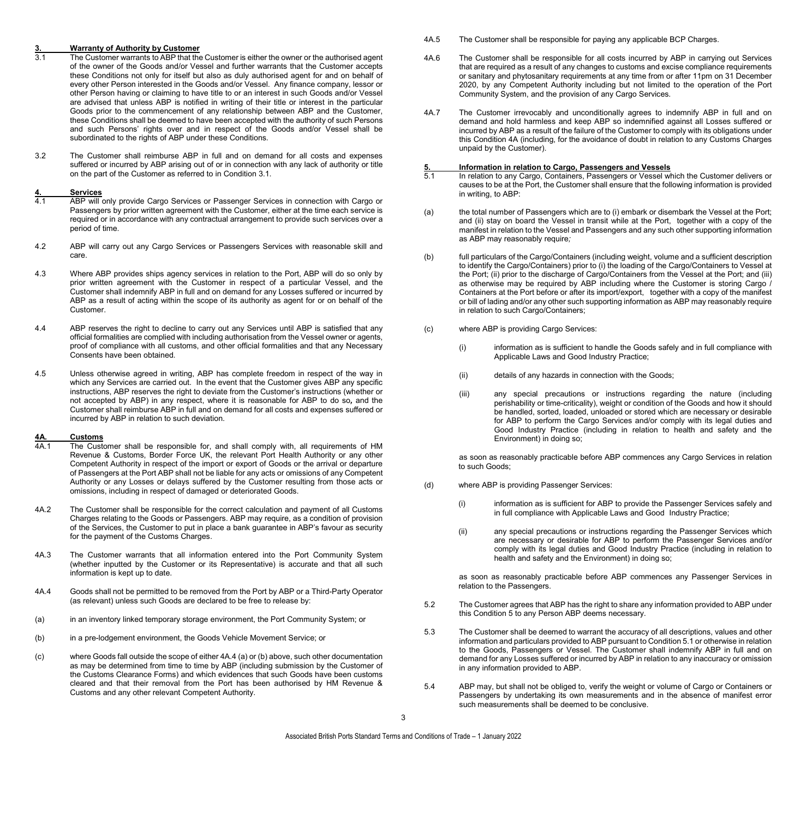# **3. Warranty of Authority by Customer**

- The Customer warrants to ABP that the Customer is either the owner or the authorised agent of the owner of the Goods and/or Vessel and further warrants that the Customer accepts these Conditions not only for itself but also as duly authorised agent for and on behalf of every other Person interested in the Goods and/or Vessel. Any finance company, lessor or other Person having or claiming to have title to or an interest in such Goods and/or Vessel are advised that unless ABP is notified in writing of their title or interest in the particular Goods prior to the commencement of any relationship between ABP and the Customer, these Conditions shall be deemed to have been accepted with the authority of such Persons and such Persons' rights over and in respect of the Goods and/or Vessel shall be subordinated to the rights of ABP under these Conditions*.*
- 3.2 The Customer shall reimburse ABP in full and on demand for all costs and expenses suffered or incurred by ABP arising out of or in connection with any lack of authority or title on the part of the Customer as referred to in Condition 3.1.

### **4. Services**

- 4.1 ABP will only provide Cargo Services or Passenger Services in connection with Cargo or Passengers by prior written agreement with the Customer, either at the time each service is required or in accordance with any contractual arrangement to provide such services over a period of time.
- 4.2 ABP will carry out any Cargo Services or Passengers Services with reasonable skill and care.
- 4.3 Where ABP provides ships agency services in relation to the Port, ABP will do so only by prior written agreement with the Customer in respect of a particular Vessel, and the Customer shall indemnify ABP in full and on demand for any Losses suffered or incurred by ABP as a result of acting within the scope of its authority as agent for or on behalf of the Customer.
- 4.4 ABP reserves the right to decline to carry out any Services until ABP is satisfied that any official formalities are complied with including authorisation from the Vessel owner or agents, proof of compliance with all customs, and other official formalities and that any Necessary Consents have been obtained.
- 4.5 Unless otherwise agreed in writing, ABP has complete freedom in respect of the way in which any Services are carried out. In the event that the Customer gives ABP any specific instructions, ABP reserves the right to deviate from the Customer's instructions (whether or not accepted by ABP) in any respect, where it is reasonable for ABP to do so*,* and the Customer shall reimburse ABP in full and on demand for all costs and expenses suffered or incurred by ABP in relation to such deviation.

### **4A. Customs**

- The Customer shall be responsible for, and shall comply with, all requirements of HM Revenue & Customs, Border Force UK, the relevant Port Health Authority or any other Competent Authority in respect of the import or export of Goods or the arrival or departure of Passengers at the Port ABP shall not be liable for any acts or omissions of any Competent Authority or any Losses or delays suffered by the Customer resulting from those acts or omissions, including in respect of damaged or deteriorated Goods.
- 4A.2 The Customer shall be responsible for the correct calculation and payment of all Customs Charges relating to the Goods or Passengers. ABP may require, as a condition of provision of the Services, the Customer to put in place a bank guarantee in ABP's favour as security for the payment of the Customs Charges.
- 4A.3 The Customer warrants that all information entered into the Port Community System (whether inputted by the Customer or its Representative) is accurate and that all such information is kept up to date.
- 4A.4 Goods shall not be permitted to be removed from the Port by ABP or a Third-Party Operator (as relevant) unless such Goods are declared to be free to release by:
- (a) in an inventory linked temporary storage environment, the Port Community System; or
- (b) in a pre-lodgement environment, the Goods Vehicle Movement Service; or
- (c) where Goods fall outside the scope of either 4A.4 (a) or (b) above, such other documentation as may be determined from time to time by ABP (including submission by the Customer of the Customs Clearance Forms) and which evidences that such Goods have been customs cleared and that their removal from the Port has been authorised by HM Revenue & Customs and any other relevant Competent Authority.
- 4A.5 The Customer shall be responsible for paying any applicable BCP Charges.
- 4A.6 The Customer shall be responsible for all costs incurred by ABP in carrying out Services that are required as a result of any changes to customs and excise compliance requirements or sanitary and phytosanitary requirements at any time from or after 11pm on 31 December 2020, by any Competent Authority including but not limited to the operation of the Port Community System, and the provision of any Cargo Services.
- 4A.7 The Customer irrevocably and unconditionally agrees to indemnify ABP in full and on demand and hold harmless and keep ABP so indemnified against all Losses suffered or incurred by ABP as a result of the failure of the Customer to comply with its obligations under this Condition 4A (including, for the avoidance of doubt in relation to any Customs Charges unpaid by the Customer).

#### **5. Information in relation to Cargo, Passengers and Vessels**

- In relation to any Cargo, Containers, Passengers or Vessel which the Customer delivers or causes to be at the Port, the Customer shall ensure that the following information is provided in writing, to ABP:
- (a) the total number of Passengers which are to (i) embark or disembark the Vessel at the Port; and (ii) stay on board the Vessel in transit while at the Port, together with a copy of the manifest in relation to the Vessel and Passengers and any such other supporting information as ABP may reasonably require*;*
- (b) full particulars of the Cargo/Containers (including weight, volume and a sufficient description to identify the Cargo/Containers) prior to (i) the loading of the Cargo/Containers to Vessel at the Port; (ii) prior to the discharge of Cargo/Containers from the Vessel at the Port; and (iii) as otherwise may be required by ABP including where the Customer is storing Cargo / Containers at the Port before or after its import/export, together with a copy of the manifest or bill of lading and/or any other such supporting information as ABP may reasonably require in relation to such Cargo/Containers;
- (c) where ABP is providing Cargo Services:
	- (i) information as is sufficient to handle the Goods safely and in full compliance with Applicable Laws and Good Industry Practice;
	- (ii) details of any hazards in connection with the Goods;
	- (iii) any special precautions or instructions regarding the nature (including perishability or time-criticality), weight or condition of the Goods and how it should be handled, sorted, loaded, unloaded or stored which are necessary or desirable for ABP to perform the Cargo Services and/or comply with its legal duties and Good Industry Practice (including in relation to health and safety and the Environment) in doing so;

as soon as reasonably practicable before ABP commences any Cargo Services in relation to such Goods;

- (d) where ABP is providing Passenger Services:
	- (i) information as is sufficient for ABP to provide the Passenger Services safely and in full compliance with Applicable Laws and Good Industry Practice;
	- (ii) any special precautions or instructions regarding the Passenger Services which are necessary or desirable for ABP to perform the Passenger Services and/or comply with its legal duties and Good Industry Practice (including in relation to health and safety and the Environment) in doing so;

as soon as reasonably practicable before ABP commences any Passenger Services in relation to the Passengers.

- 5.2 The Customer agrees that ABP has the right to share any information provided to ABP under this Condition 5 to any Person ABP deems necessary.
- 5.3 The Customer shall be deemed to warrant the accuracy of all descriptions, values and other information and particulars provided to ABP pursuant to Condition 5.1 or otherwise in relation to the Goods, Passengers or Vessel. The Customer shall indemnify ABP in full and on demand for any Losses suffered or incurred by ABP in relation to any inaccuracy or omission in any information provided to ABP.
- 5.4 ABP may, but shall not be obliged to, verify the weight or volume of Cargo or Containers or Passengers by undertaking its own measurements and in the absence of manifest error such measurements shall be deemed to be conclusive.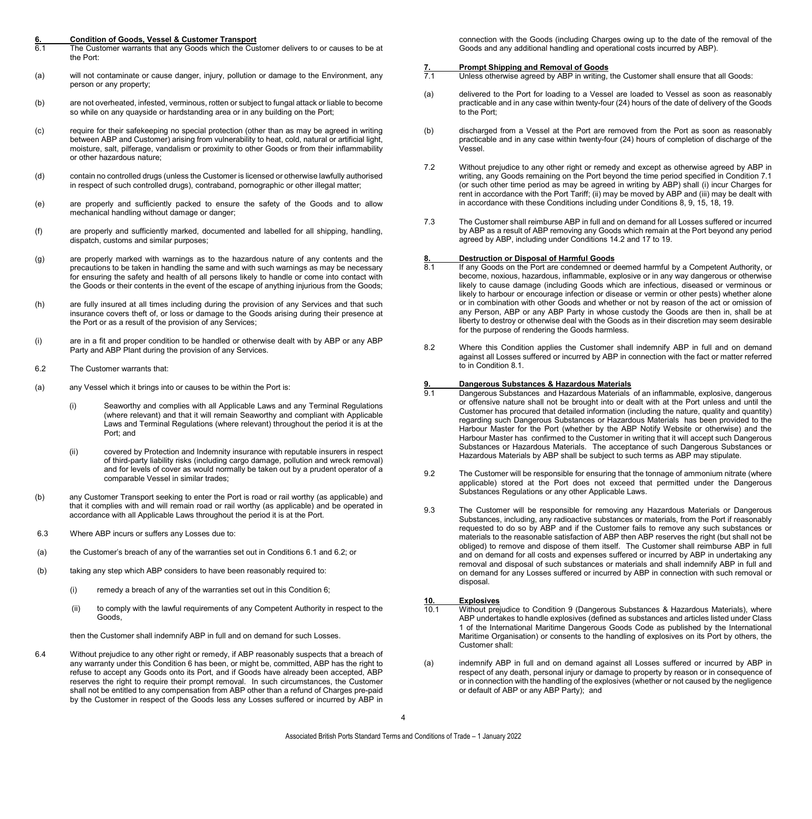### **6. Condition of Goods, Vessel & Customer Transport**

- The Customer warrants that any Goods which the Customer delivers to or causes to be at the Port:
- (a) will not contaminate or cause danger, injury, pollution or damage to the Environment, any person or any property;
- (b) are not overheated, infested, verminous, rotten or subject to fungal attack or liable to become so while on any quayside or hardstanding area or in any building on the Port;
- (c) require for their safekeeping no special protection (other than as may be agreed in writing between ABP and Customer) arising from vulnerability to heat, cold, natural or artificial light, moisture, salt, pilferage, vandalism or proximity to other Goods or from their inflammability or other hazardous nature;
- (d) contain no controlled drugs (unless the Customer is licensed or otherwise lawfully authorised in respect of such controlled drugs), contraband, pornographic or other illegal matter;
- (e) are properly and sufficiently packed to ensure the safety of the Goods and to allow mechanical handling without damage or danger;
- (f) are properly and sufficiently marked, documented and labelled for all shipping, handling, dispatch, customs and similar purposes;
- (g) are properly marked with warnings as to the hazardous nature of any contents and the precautions to be taken in handling the same and with such warnings as may be necessary for ensuring the safety and health of all persons likely to handle or come into contact with the Goods or their contents in the event of the escape of anything injurious from the Goods;
- (h) are fully insured at all times including during the provision of any Services and that such insurance covers theft of, or loss or damage to the Goods arising during their presence at the Port or as a result of the provision of any Services;
- (i) are in a fit and proper condition to be handled or otherwise dealt with by ABP or any ABP Party and ABP Plant during the provision of any Services.
- 6.2 The Customer warrants that:
- (a) any Vessel which it brings into or causes to be within the Port is:
	- (i) Seaworthy and complies with all Applicable Laws and any Terminal Regulations (where relevant) and that it will remain Seaworthy and compliant with Applicable Laws and Terminal Regulations (where relevant) throughout the period it is at the Port; and
	- (ii) covered by Protection and Indemnity insurance with reputable insurers in respect of third-party liability risks (including cargo damage, pollution and wreck removal) and for levels of cover as would normally be taken out by a prudent operator of a comparable Vessel in similar trades;
- (b) any Customer Transport seeking to enter the Port is road or rail worthy (as applicable) and that it complies with and will remain road or rail worthy (as applicable) and be operated in accordance with all Applicable Laws throughout the period it is at the Port.
- 6.3 Where ABP incurs or suffers any Losses due to:
- (a) the Customer's breach of any of the warranties set out in Conditions 6.1 and 6.2; or
- (b) taking any step which ABP considers to have been reasonably required to:
	- (i) remedy a breach of any of the warranties set out in this Condition 6;
	- (ii) to comply with the lawful requirements of any Competent Authority in respect to the Goods,

then the Customer shall indemnify ABP in full and on demand for such Losses.

6.4 Without prejudice to any other right or remedy, if ABP reasonably suspects that a breach of any warranty under this Condition 6 has been, or might be, committed, ABP has the right to refuse to accept any Goods onto its Port, and if Goods have already been accepted, ABP reserves the right to require their prompt removal. In such circumstances, the Customer shall not be entitled to any compensation from ABP other than a refund of Charges pre-paid by the Customer in respect of the Goods less any Losses suffered or incurred by ABP in

connection with the Goods (including Charges owing up to the date of the removal of the Goods and any additional handling and operational costs incurred by ABP).

- **7. Prompt Shipping and Removal of Goods**<br>**71** Unless otherwise agreed by ABP in writing, t Unless otherwise agreed by ABP in writing, the Customer shall ensure that all Goods:
- (a) delivered to the Port for loading to a Vessel are loaded to Vessel as soon as reasonably practicable and in any case within twenty-four (24) hours of the date of delivery of the Goods to the Port;
- (b) discharged from a Vessel at the Port are removed from the Port as soon as reasonably practicable and in any case within twenty-four (24) hours of completion of discharge of the .<br>Vessel
- 7.2 Without prejudice to any other right or remedy and except as otherwise agreed by ABP in writing, any Goods remaining on the Port beyond the time period specified in Condition 7.1 (or such other time period as may be agreed in writing by ABP) shall (i) incur Charges for rent in accordance with the Port Tariff; (ii) may be moved by ABP and (iii) may be dealt with in accordance with these Conditions including under Conditions 8, 9, 15, 18, 19.
- 7.3 The Customer shall reimburse ABP in full and on demand for all Losses suffered or incurred by ABP as a result of ABP removing any Goods which remain at the Port beyond any period agreed by ABP, including under Conditions 14.2 and 17 to 19.

### **8. Destruction or Disposal of Harmful Goods**

- If any Goods on the Port are condemned or deemed harmful by a Competent Authority, or become, noxious, hazardous, inflammable, explosive or in any way dangerous or otherwise likely to cause damage (including Goods which are infectious, diseased or verminous or likely to harbour or encourage infection or disease or vermin or other pests) whether alone or in combination with other Goods and whether or not by reason of the act or omission of any Person, ABP or any ABP Party in whose custody the Goods are then in, shall be at liberty to destroy or otherwise deal with the Goods as in their discretion may seem desirable for the purpose of rendering the Goods harmless.
- 8.2 Where this Condition applies the Customer shall indemnify ABP in full and on demand against all Losses suffered or incurred by ABP in connection with the fact or matter referred to in Condition 8.1.

### **9. Dangerous Substances & Hazardous Materials**

- Dangerous Substances and Hazardous Materials of an inflammable, explosive, dangerous or offensive nature shall not be brought into or dealt with at the Port unless and until the Customer has procured that detailed information (including the nature, quality and quantity) regarding such Dangerous Substances or Hazardous Materials has been provided to the Harbour Master for the Port (whether by the ABP Notify Website or otherwise) and the Harbour Master has confirmed to the Customer in writing that it will accept such Dangerous Substances or Hazardous Materials. The acceptance of such Dangerous Substances or Hazardous Materials by ABP shall be subject to such terms as ABP may stipulate.
- 9.2 The Customer will be responsible for ensuring that the tonnage of ammonium nitrate (where applicable) stored at the Port does not exceed that permitted under the Dangerous Substances Regulations or any other Applicable Laws.
- 9.3 The Customer will be responsible for removing any Hazardous Materials or Dangerous Substances, including, any radioactive substances or materials, from the Port if reasonably requested to do so by ABP and if the Customer fails to remove any such substances or materials to the reasonable satisfaction of ABP then ABP reserves the right (but shall not be obliged) to remove and dispose of them itself. The Customer shall reimburse ABP in full and on demand for all costs and expenses suffered or incurred by ABP in undertaking any removal and disposal of such substances or materials and shall indemnify ABP in full and on demand for any Losses suffered or incurred by ABP in connection with such removal or disposal.

# **10. Explosives**

- Without prejudice to Condition 9 (Dangerous Substances & Hazardous Materials), where ABP undertakes to handle explosives (defined as substances and articles listed under Class 1 of the International Maritime Dangerous Goods Code as published by the International Maritime Organisation) or consents to the handling of explosives on its Port by others, the Customer shall:
- (a) indemnify ABP in full and on demand against all Losses suffered or incurred by ABP in respect of any death, personal injury or damage to property by reason or in consequence of or in connection with the handling of the explosives (whether or not caused by the negligence or default of ABP or any ABP Party); and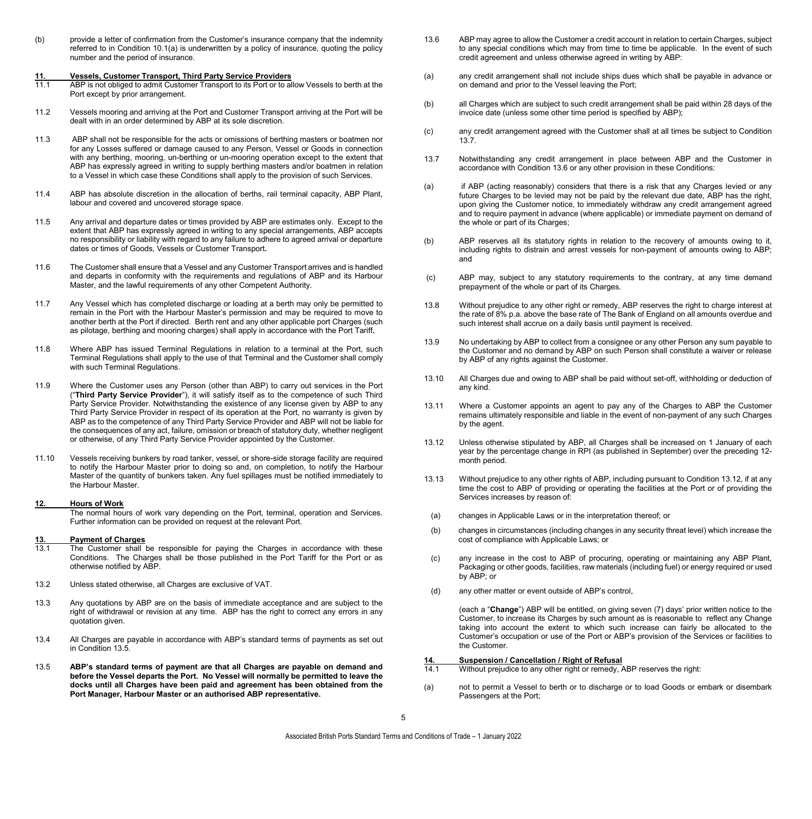(b) provide a letter of confirmation from the Customer's insurance company that the indemnity referred to in Condition 10.1(a) is underwritten by a policy of insurance, quoting the policy number and the period of insurance.

# **11. Vessels, Customer Transport, Third Party Service Providers**

- ABP is not obliged to admit Customer Transport to its Port or to allow Vessels to berth at the Port except by prior arrangement.
- 11.2 Vessels mooring and arriving at the Port and Customer Transport arriving at the Port will be dealt with in an order determined by ABP at its sole discretion.
- 11.3 ABP shall not be responsible for the acts or omissions of berthing masters or boatmen nor for any Losses suffered or damage caused to any Person, Vessel or Goods in connection with any berthing, mooring, un-berthing or un-mooring operation except to the extent that ABP has expressly agreed in writing to supply berthing masters and/or boatmen in relation to a Vessel in which case these Conditions shall apply to the provision of such Services.
- 11.4 ABP has absolute discretion in the allocation of berths, rail terminal capacity, ABP Plant, labour and covered and uncovered storage space.
- 11.5 Any arrival and departure dates or times provided by ABP are estimates only. Except to the extent that ABP has expressly agreed in writing to any special arrangements, ABP accepts no responsibility or liability with regard to any failure to adhere to agreed arrival or departure dates or times of Goods, Vessels or Customer Transport**.**
- 11.6 The Customer shall ensure that a Vessel and any Customer Transport arrives and is handled and departs in conformity with the requirements and regulations of ABP and its Harbour Master, and the lawful requirements of any other Competent Authority.
- 11.7 Any Vessel which has completed discharge or loading at a berth may only be permitted to remain in the Port with the Harbour Master's permission and may be required to move to another berth at the Port if directed. Berth rent and any other applicable port Charges (such as pilotage, berthing and mooring charges) shall apply in accordance with the Port Tariff*.*
- 11.8 Where ABP has issued Terminal Regulations in relation to a terminal at the Port, such Terminal Regulations shall apply to the use of that Terminal and the Customer shall comply with such Terminal Regulations.
- 11.9 Where the Customer uses any Person (other than ABP) to carry out services in the Port ("**Third Party Service Provider**"), it will satisfy itself as to the competence of such Third Party Service Provider. Notwithstanding the existence of any license given by ABP to any Third Party Service Provider in respect of its operation at the Port, no warranty is given by ABP as to the competence of any Third Party Service Provider and ABP will not be liable for the consequences of any act, failure, omission or breach of statutory duty, whether negligent or otherwise, of any Third Party Service Provider appointed by the Customer.
- 11.10 Vessels receiving bunkers by road tanker, vessel, or shore-side storage facility are required to notify the Harbour Master prior to doing so and, on completion, to notify the Harbour Master of the quantity of bunkers taken. Any fuel spillages must be notified immediately to the Harbour Master.

#### **12. Hours of Work**

The normal hours of work vary depending on the Port, terminal, operation and Services. Further information can be provided on request at the relevant Port.

# **13. Payment of Charges**

- The Customer shall be responsible for paying the Charges in accordance with these Conditions. The Charges shall be those published in the Port Tariff for the Port or as otherwise notified by ABP.
- 13.2 Unless stated otherwise, all Charges are exclusive of VAT.
- 13.3 Any quotations by ABP are on the basis of immediate acceptance and are subject to the right of withdrawal or revision at any time. ABP has the right to correct any errors in any quotation given.
- 13.4 All Charges are payable in accordance with ABP's standard terms of payments as set out in Condition 13.5.
- 13.5 **ABP's standard terms of payment are that all Charges are payable on demand and before the Vessel departs the Port. No Vessel will normally be permitted to leave the docks until all Charges have been paid and agreement has been obtained from the Port Manager, Harbour Master or an authorised ABP representative.**
- 13.6 ABP may agree to allow the Customer a credit account in relation to certain Charges, subject to any special conditions which may from time to time be applicable. In the event of such credit agreement and unless otherwise agreed in writing by ABP:
- (a) any credit arrangement shall not include ships dues which shall be payable in advance or on demand and prior to the Vessel leaving the Port;
- (b) all Charges which are subject to such credit arrangement shall be paid within 28 days of the invoice date (unless some other time period is specified by ABP);
- (c) any credit arrangement agreed with the Customer shall at all times be subject to Condition 13.7.
- 13.7 Notwithstanding any credit arrangement in place between ABP and the Customer in accordance with Condition 13.6 or any other provision in these Conditions:
- (a) if ABP (acting reasonably) considers that there is a risk that any Charges levied or any future Charges to be levied may not be paid by the relevant due date, ABP has the right, upon giving the Customer notice, to immediately withdraw any credit arrangement agreed and to require payment in advance (where applicable) or immediate payment on demand of the whole or part of its Charges;
- (b) ABP reserves all its statutory rights in relation to the recovery of amounts owing to it, including rights to distrain and arrest vessels for non-payment of amounts owing to ABP; and
- (c) ABP may, subject to any statutory requirements to the contrary, at any time demand prepayment of the whole or part of its Charges.
- 13.8 Without prejudice to any other right or remedy, ABP reserves the right to charge interest at the rate of 8% p.a. above the base rate of The Bank of England on all amounts overdue and such interest shall accrue on a daily basis until payment is received.
- 13.9 No undertaking by ABP to collect from a consignee or any other Person any sum payable to the Customer and no demand by ABP on such Person shall constitute a waiver or release by ABP of any rights against the Customer.
- 13.10 All Charges due and owing to ABP shall be paid without set-off, withholding or deduction of any kind.
- 13.11 Where a Customer appoints an agent to pay any of the Charges to ABP the Customer remains ultimately responsible and liable in the event of non-payment of any such Charges by the agent.
- 13.12 Unless otherwise stipulated by ABP, all Charges shall be increased on 1 January of each year by the percentage change in RPI (as published in September) over the preceding 12 month period.
- 13.13 Without prejudice to any other rights of ABP, including pursuant to Condition 13.12, if at any time the cost to ABP of providing or operating the facilities at the Port or of providing the Services increases by reason of:
- (a) changes in Applicable Laws or in the interpretation thereof; or
- (b) changes in circumstances (including changes in any security threat level) which increase the cost of compliance with Applicable Laws; or
- (c) any increase in the cost to ABP of procuring, operating or maintaining any ABP Plant, Packaging or other goods, facilities, raw materials (including fuel) or energy required or used by ABP; or
- (d) any other matter or event outside of ABP's control,

(each a "**Change**") ABP will be entitled, on giving seven (7) days' prior written notice to the Customer, to increase its Charges by such amount as is reasonable to reflect any Change taking into account the extent to which such increase can fairly be allocated to the Customer's occupation or use of the Port or ABP's provision of the Services or facilities to the Customer.

### **14. Suspension / Cancellation / Right of Refusal**

- Without prejudice to any other right or remedy, ABP reserves the right:
- (a) not to permit a Vessel to berth or to discharge or to load Goods or embark or disembark Passengers at the Port;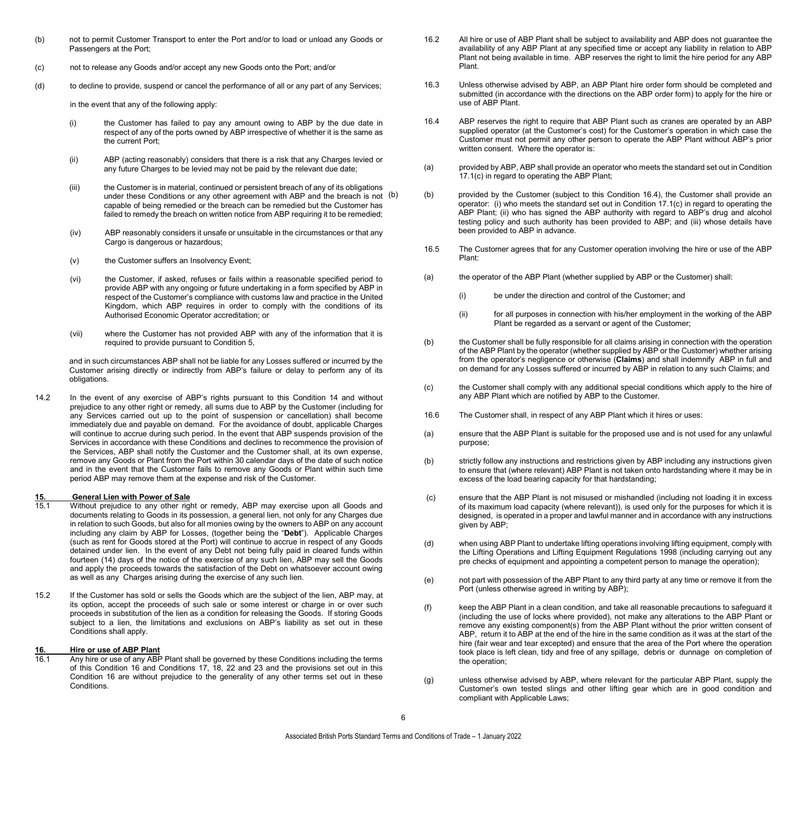- (b) not to permit Customer Transport to enter the Port and/or to load or unload any Goods or Passengers at the Port;
- (c) not to release any Goods and/or accept any new Goods onto the Port; and/or
- (d) to decline to provide, suspend or cancel the performance of all or any part of any Services;

in the event that any of the following apply:

- (i) the Customer has failed to pay any amount owing to ABP by the due date in respect of any of the ports owned by ABP irrespective of whether it is the same as the current Port;
- (ii) ABP (acting reasonably) considers that there is a risk that any Charges levied or any future Charges to be levied may not be paid by the relevant due date;
- (iii) the Customer is in material, continued or persistent breach of any of its obligations under these Conditions or any other agreement with ABP and the breach is not (b) capable of being remedied or the breach can be remedied but the Customer has failed to remedy the breach on written notice from ABP requiring it to be remedied;
- (iv) ABP reasonably considers it unsafe or unsuitable in the circumstances or that any Cargo is dangerous or hazardous;
- (v) the Customer suffers an Insolvency Event;
- (vi) the Customer, if asked, refuses or fails within a reasonable specified period to provide ABP with any ongoing or future undertaking in a form specified by ABP in respect of the Customer's compliance with customs law and practice in the United Kingdom, which ABP requires in order to comply with the conditions of its Authorised Economic Operator accreditation; or
- (vii) where the Customer has not provided ABP with any of the information that it is required to provide pursuant to Condition 5,

and in such circumstances ABP shall not be liable for any Losses suffered or incurred by the Customer arising directly or indirectly from ABP's failure or delay to perform any of its obligations.

14.2 In the event of any exercise of ABP's rights pursuant to this Condition 14 and without prejudice to any other right or remedy, all sums due to ABP by the Customer (including for any Services carried out up to the point of suspension or cancellation) shall become immediately due and payable on demand. For the avoidance of doubt, applicable Charges will continue to accrue during such period. In the event that ABP suspends provision of the Services in accordance with these Conditions and declines to recommence the provision of the Services, ABP shall notify the Customer and the Customer shall, at its own expense, remove any Goods or Plant from the Port within 30 calendar days of the date of such notice and in the event that the Customer fails to remove any Goods or Plant within such time period ABP may remove them at the expense and risk of the Customer.

# **15. General Lien with Power of Sale**

- Without prejudice to any other right or remedy, ABP may exercise upon all Goods and documents relating to Goods in its possession, a general lien, not only for any Charges due in relation to such Goods, but also for all monies owing by the owners to ABP on any account including any claim by ABP for Losses, (together being the "**Debt**"). Applicable Charges (such as rent for Goods stored at the Port) will continue to accrue in respect of any Goods detained under lien. In the event of any Debt not being fully paid in cleared funds within fourteen (14) days of the notice of the exercise of any such lien, ABP may sell the Goods and apply the proceeds towards the satisfaction of the Debt on whatsoever account owing as well as any Charges arising during the exercise of any such lien.
- 15.2 If the Customer has sold or sells the Goods which are the subject of the lien, ABP may, at its option, accept the proceeds of such sale or some interest or charge in or over such proceeds in substitution of the lien as a condition for releasing the Goods. If storing Goods subject to a lien, the limitations and exclusions on ABP's liability as set out in these Conditions shall apply.

### **16. Hire or use of ABP Plant**

Any hire or use of any ABP Plant shall be governed by these Conditions including the terms of this Condition 16 and Conditions 17, 18, 22 and 23 and the provisions set out in this Condition 16 are without prejudice to the generality of any other terms set out in these Conditions.

- 16.2 All hire or use of ABP Plant shall be subject to availability and ABP does not guarantee the availability of any ABP Plant at any specified time or accept any liability in relation to ABP Plant not being available in time. ABP reserves the right to limit the hire period for any ABP Plant.
- 16.3 Unless otherwise advised by ABP, an ABP Plant hire order form should be completed and submitted (in accordance with the directions on the ABP order form) to apply for the hire or use of ABP Plant.
- 16.4 ABP reserves the right to require that ABP Plant such as cranes are operated by an ABP supplied operator (at the Customer's cost) for the Customer's operation in which case the Customer must not permit any other person to operate the ABP Plant without ABP's prior written consent. Where the operator is:
- (a) provided by ABP, ABP shall provide an operator who meets the standard set out in Condition 17.1(c) in regard to operating the ABP Plant;
- (b) (b) provided by the Customer (subject to this Condition 16.4), the Customer shall provide an operator: (i) who meets the standard set out in Condition 17.1(c) in regard to operating the ABP Plant; (ii) who has signed the ABP authority with regard to ABP's drug and alcohol testing policy and such authority has been provided to ABP; and (iii) whose details have been provided to ABP in advance.
- 16.5 The Customer agrees that for any Customer operation involving the hire or use of the ABP Plant:
- (a) the operator of the ABP Plant (whether supplied by ABP or the Customer) shall:
	- (i) be under the direction and control of the Customer; and
	- (ii) for all purposes in connection with his/her employment in the working of the ABP Plant be regarded as a servant or agent of the Customer;
- (b) the Customer shall be fully responsible for all claims arising in connection with the operation of the ABP Plant by the operator (whether supplied by ABP or the Customer) whether arising from the operator's negligence or otherwise (**Claims**) and shall indemnify ABP in full and on demand for any Losses suffered or incurred by ABP in relation to any such Claims; and
- (c) the Customer shall comply with any additional special conditions which apply to the hire of any ABP Plant which are notified by ABP to the Customer.
- 16.6 The Customer shall, in respect of any ABP Plant which it hires or uses:
- (a) ensure that the ABP Plant is suitable for the proposed use and is not used for any unlawful purpose;
- (b) strictly follow any instructions and restrictions given by ABP including any instructions given to ensure that (where relevant) ABP Plant is not taken onto hardstanding where it may be in excess of the load bearing capacity for that hardstanding;
- (c) ensure that the ABP Plant is not misused or mishandled (including not loading it in excess of its maximum load capacity (where relevant)), is used only for the purposes for which it is designed, is operated in a proper and lawful manner and in accordance with any instructions given by ABP;
- (d) when using ABP Plant to undertake lifting operations involving lifting equipment, comply with the Lifting Operations and Lifting Equipment Regulations 1998 (including carrying out any pre checks of equipment and appointing a competent person to manage the operation);
- (e) not part with possession of the ABP Plant to any third party at any time or remove it from the Port (unless otherwise agreed in writing by ABP);
- (f) keep the ABP Plant in a clean condition, and take all reasonable precautions to safeguard it (including the use of locks where provided), not make any alterations to the ABP Plant or remove any existing component(s) from the ABP Plant without the prior written consent of ABP, return it to ABP at the end of the hire in the same condition as it was at the start of the hire (fair wear and tear excepted) and ensure that the area of the Port where the operation took place is left clean, tidy and free of any spillage, debris or dunnage on completion of the operation;
- (g) unless otherwise advised by ABP, where relevant for the particular ABP Plant, supply the Customer's own tested slings and other lifting gear which are in good condition and compliant with Applicable Laws;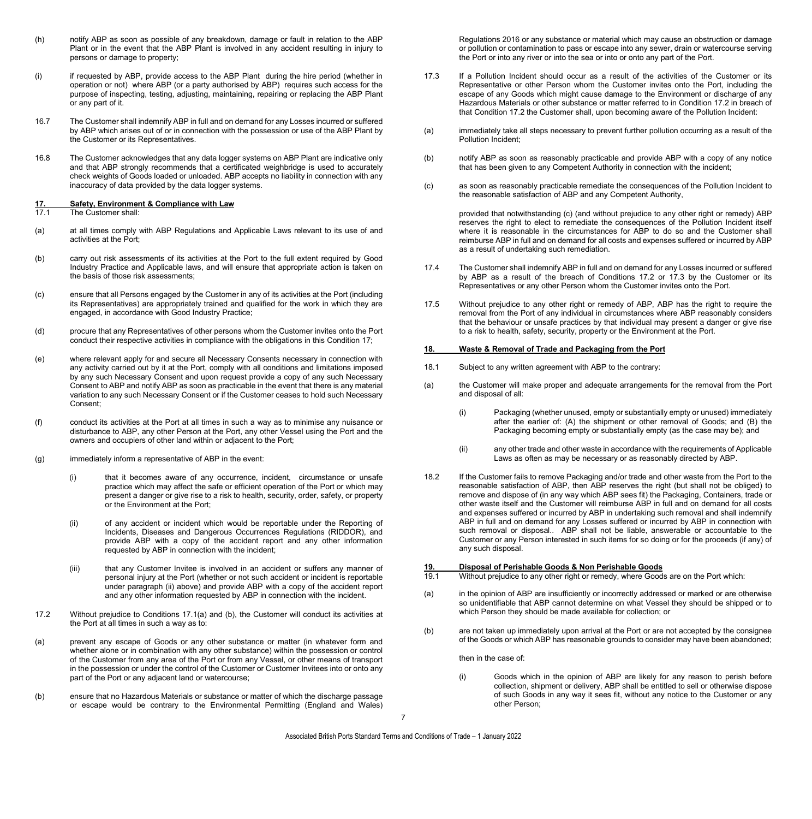- (h) notify ABP as soon as possible of any breakdown, damage or fault in relation to the ABP Plant or in the event that the ABP Plant is involved in any accident resulting in injury to persons or damage to property;
- (i) if requested by ABP, provide access to the ABP Plant during the hire period (whether in operation or not) where ABP (or a party authorised by ABP) requires such access for the purpose of inspecting, testing, adjusting, maintaining, repairing or replacing the ABP Plant or any part of it.
- 16.7 The Customer shall indemnify ABP in full and on demand for any Losses incurred or suffered by ABP which arises out of or in connection with the possession or use of the ABP Plant by the Customer or its Representatives.
- 16.8 The Customer acknowledges that any data logger systems on ABP Plant are indicative only and that ABP strongly recommends that a certificated weighbridge is used to accurately check weights of Goods loaded or unloaded. ABP accepts no liability in connection with any inaccuracy of data provided by the data logger systems.

### **17. Safety, Environment & Compliance with Law**

The Customer shall:

- (a) at all times comply with ABP Regulations and Applicable Laws relevant to its use of and activities at the Port;
- (b) carry out risk assessments of its activities at the Port to the full extent required by Good Industry Practice and Applicable laws, and will ensure that appropriate action is taken on the basis of those risk assessments;
- (c) ensure that all Persons engaged by the Customer in any of its activities at the Port (including its Representatives) are appropriately trained and qualified for the work in which they are engaged, in accordance with Good Industry Practice;
- (d) procure that any Representatives of other persons whom the Customer invites onto the Port conduct their respective activities in compliance with the obligations in this Condition 17;
- (e) where relevant apply for and secure all Necessary Consents necessary in connection with any activity carried out by it at the Port, comply with all conditions and limitations imposed by any such Necessary Consent and upon request provide a copy of any such Necessary Consent to ABP and notify ABP as soon as practicable in the event that there is any material variation to any such Necessary Consent or if the Customer ceases to hold such Necessary Consent;
- (f) conduct its activities at the Port at all times in such a way as to minimise any nuisance or disturbance to ABP, any other Person at the Port, any other Vessel using the Port and the owners and occupiers of other land within or adjacent to the Port;
- (g) immediately inform a representative of ABP in the event:
	- (i) that it becomes aware of any occurrence, incident, circumstance or unsafe practice which may affect the safe or efficient operation of the Port or which may present a danger or give rise to a risk to health, security, order, safety, or property or the Environment at the Port;
	- (ii) of any accident or incident which would be reportable under the Reporting of Incidents, Diseases and Dangerous Occurrences Regulations (RIDDOR), and provide ABP with a copy of the accident report and any other information requested by ABP in connection with the incident;
	- (iii) that any Customer Invitee is involved in an accident or suffers any manner of personal injury at the Port (whether or not such accident or incident is reportable under paragraph (ii) above) and provide ABP with a copy of the accident report and any other information requested by ABP in connection with the incident.
- 17.2 Without prejudice to Conditions 17.1(a) and (b), the Customer will conduct its activities at the Port at all times in such a way as to:
- (a) prevent any escape of Goods or any other substance or matter (in whatever form and whether alone or in combination with any other substance) within the possession or control of the Customer from any area of the Port or from any Vessel, or other means of transport in the possession or under the control of the Customer or Customer Invitees into or onto any part of the Port or any adjacent land or watercourse;
- (b) ensure that no Hazardous Materials or substance or matter of which the discharge passage or escape would be contrary to the Environmental Permitting (England and Wales)

Regulations 2016 or any substance or material which may cause an obstruction or damage or pollution or contamination to pass or escape into any sewer, drain or watercourse serving the Port or into any river or into the sea or into or onto any part of the Port.

- 17.3 If a Pollution Incident should occur as a result of the activities of the Customer or its Representative or other Person whom the Customer invites onto the Port, including the escape of any Goods which might cause damage to the Environment or discharge of any Hazardous Materials or other substance or matter referred to in Condition 17.2 in breach of that Condition 17.2 the Customer shall, upon becoming aware of the Pollution Incident:
- (a) immediately take all steps necessary to prevent further pollution occurring as a result of the Pollution Incident;
- (b) notify ABP as soon as reasonably practicable and provide ABP with a copy of any notice that has been given to any Competent Authority in connection with the incident;
- (c) as soon as reasonably practicable remediate the consequences of the Pollution Incident to the reasonable satisfaction of ABP and any Competent Authority,

provided that notwithstanding (c) (and without prejudice to any other right or remedy) ABP reserves the right to elect to remediate the consequences of the Pollution Incident itself where it is reasonable in the circumstances for ABP to do so and the Customer shall reimburse ABP in full and on demand for all costs and expenses suffered or incurred by ABP as a result of undertaking such remediation.

- 17.4 The Customer shall indemnify ABP in full and on demand for any Losses incurred or suffered by ABP as a result of the breach of Conditions 17.2 or 17.3 by the Customer or its Representatives or any other Person whom the Customer invites onto the Port.
- 17.5 Without prejudice to any other right or remedy of ABP, ABP has the right to require the removal from the Port of any individual in circumstances where ABP reasonably considers that the behaviour or unsafe practices by that individual may present a danger or give rise to a risk to health, safety, security, property or the Environment at the Port.

#### **18. Waste & Removal of Trade and Packaging from the Port**

- 18.1 Subject to any written agreement with ABP to the contrary:
- (a) the Customer will make proper and adequate arrangements for the removal from the Port and disposal of all:
	- (i) Packaging (whether unused, empty or substantially empty or unused) immediately after the earlier of: (A) the shipment or other removal of Goods; and (B) the Packaging becoming empty or substantially empty (as the case may be); and
	- (ii) any other trade and other waste in accordance with the requirements of Applicable Laws as often as may be necessary or as reasonably directed by ABP.
- 18.2 If the Customer fails to remove Packaging and/or trade and other waste from the Port to the reasonable satisfaction of ABP, then ABP reserves the right (but shall not be obliged) to remove and dispose of (in any way which ABP sees fit) the Packaging, Containers, trade or other waste itself and the Customer will reimburse ABP in full and on demand for all costs and expenses suffered or incurred by ABP in undertaking such removal and shall indemnify ABP in full and on demand for any Losses suffered or incurred by ABP in connection with such removal or disposal. ABP shall not be liable, answerable or accountable to the Customer or any Person interested in such items for so doing or for the proceeds (if any) of any such disposal.

# **19. Disposal of Perishable Goods & Non Perishable Goods**

- Without prejudice to any other right or remedy, where Goods are on the Port which:
- (a) in the opinion of ABP are insufficiently or incorrectly addressed or marked or are otherwise so unidentifiable that ABP cannot determine on what Vessel they should be shipped or to which Person they should be made available for collection; or
- (b) are not taken up immediately upon arrival at the Port or are not accepted by the consignee of the Goods or which ABP has reasonable grounds to consider may have been abandoned;

then in the case of:

(i) Goods which in the opinion of ABP are likely for any reason to perish before collection, shipment or delivery, ABP shall be entitled to sell or otherwise dispose of such Goods in any way it sees fit, without any notice to the Customer or any other Person;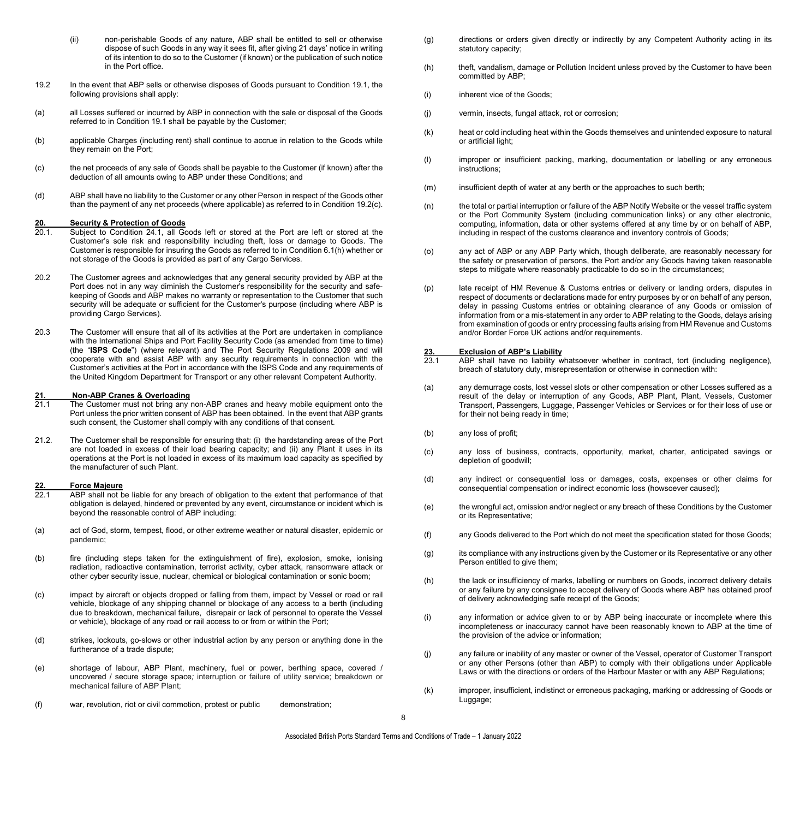- (ii) non-perishable Goods of any nature**,** ABP shall be entitled to sell or otherwise dispose of such Goods in any way it sees fit, after giving 21 days' notice in writing of its intention to do so to the Customer (if known) or the publication of such notice in the Port office.
- 19.2 In the event that ABP sells or otherwise disposes of Goods pursuant to Condition 19.1, the following provisions shall apply:
- (a) all Losses suffered or incurred by ABP in connection with the sale or disposal of the Goods referred to in Condition 19.1 shall be payable by the Customer;
- (b) applicable Charges (including rent) shall continue to accrue in relation to the Goods while they remain on the Port;
- (c) the net proceeds of any sale of Goods shall be payable to the Customer (if known) after the deduction of all amounts owing to ABP under these Conditions; and
- (d) ABP shall have no liability to the Customer or any other Person in respect of the Goods other than the payment of any net proceeds (where applicable) as referred to in Condition 19.2(c).

# 20. **Security & Protection of Goods**<br>20.1. Subject to Condition 24.1, all Go

- Subject to Condition 24.1, all Goods left or stored at the Port are left or stored at the Customer's sole risk and responsibility including theft, loss or damage to Goods. The Customer is responsible for insuring the Goods as referred to in Condition 6.1(h) whether or not storage of the Goods is provided as part of any Cargo Services.
- 20.2 The Customer agrees and acknowledges that any general security provided by ABP at the Port does not in any way diminish the Customer's responsibility for the security and safekeeping of Goods and ABP makes no warranty or representation to the Customer that such security will be adequate or sufficient for the Customer's purpose (including where ABP is providing Cargo Services).
- 20.3 The Customer will ensure that all of its activities at the Port are undertaken in compliance with the International Ships and Port Facility Security Code (as amended from time to time) (the "**ISPS Code**") (where relevant) and The Port Security Regulations 2009 and will cooperate with and assist ABP with any security requirements in connection with the Customer's activities at the Port in accordance with the ISPS Code and any requirements of the United Kingdom Department for Transport or any other relevant Competent Authority.

# **21. Non-ABP Cranes & Overloading**

- The Customer must not bring any non-ABP cranes and heavy mobile equipment onto the Port unless the prior written consent of ABP has been obtained. In the event that ABP grants such consent, the Customer shall comply with any conditions of that consent.
- 21.2. The Customer shall be responsible for ensuring that: (i) the hardstanding areas of the Port are not loaded in excess of their load bearing capacity; and (ii) any Plant it uses in its operations at the Port is not loaded in excess of its maximum load capacity as specified by the manufacturer of such Plant.

#### **22. Force Majeure**

- ABP shall not be liable for any breach of obligation to the extent that performance of that obligation is delayed, hindered or prevented by any event, circumstance or incident which is beyond the reasonable control of ABP including:
- (a) act of God, storm, tempest, flood, or other extreme weather or natural disaster, epidemic or pandemic;
- (b) fire (including steps taken for the extinguishment of fire), explosion, smoke, ionising radiation, radioactive contamination, terrorist activity, cyber attack, ransomware attack or other cyber security issue, nuclear, chemical or biological contamination or sonic boom;
- (c) impact by aircraft or objects dropped or falling from them, impact by Vessel or road or rail vehicle, blockage of any shipping channel or blockage of any access to a berth (including due to breakdown, mechanical failure, disrepair or lack of personnel to operate the Vessel or vehicle), blockage of any road or rail access to or from or within the Port;
- (d) strikes, lockouts, go-slows or other industrial action by any person or anything done in the furtherance of a trade dispute;
- (e) shortage of labour, ABP Plant, machinery, fuel or power, berthing space, covered / uncovered / secure storage space*;* interruption or failure of utility service; breakdown or mechanical failure of ABP Plant;
- (f) war, revolution, riot or civil commotion, protest or public demonstration;
- (g) directions or orders given directly or indirectly by any Competent Authority acting in its statutory capacity;
- (h) theft, vandalism, damage or Pollution Incident unless proved by the Customer to have been committed by ABP;
- (i) inherent vice of the Goods;
- (j) vermin, insects, fungal attack, rot or corrosion;
- (k) heat or cold including heat within the Goods themselves and unintended exposure to natural or artificial light;
- (l) improper or insufficient packing, marking, documentation or labelling or any erroneous instructions;
- (m) insufficient depth of water at any berth or the approaches to such berth;
- (n) the total or partial interruption or failure of the ABP Notify Website or the vessel traffic system or the Port Community System (including communication links) or any other electronic, computing, information, data or other systems offered at any time by or on behalf of ABP, including in respect of the customs clearance and inventory controls of Goods;
- (o) any act of ABP or any ABP Party which, though deliberate, are reasonably necessary for the safety or preservation of persons, the Port and/or any Goods having taken reasonable steps to mitigate where reasonably practicable to do so in the circumstances;
- (p) late receipt of HM Revenue & Customs entries or delivery or landing orders, disputes in respect of documents or declarations made for entry purposes by or on behalf of any person, delay in passing Customs entries or obtaining clearance of any Goods or omission of information from or a mis-statement in any order to ABP relating to the Goods, delays arising from examination of goods or entry processing faults arising from HM Revenue and Customs and/or Border Force UK actions and/or requirements.

### **23. Exclusion of ABP's Liability**

- ABP shall have no liability whatsoever whether in contract, tort (including negligence), breach of statutory duty, misrepresentation or otherwise in connection with:
- (a) any demurrage costs, lost vessel slots or other compensation or other Losses suffered as a result of the delay or interruption of any Goods, ABP Plant, Plant, Vessels, Customer Transport, Passengers, Luggage, Passenger Vehicles or Services or for their loss of use or for their not being ready in time;
- (b) any loss of profit;
- (c) any loss of business, contracts, opportunity, market, charter, anticipated savings or depletion of goodwill;
- (d) any indirect or consequential loss or damages, costs, expenses or other claims for consequential compensation or indirect economic loss (howsoever caused);
- (e) the wrongful act, omission and/or neglect or any breach of these Conditions by the Customer or its Representative;
- (f) any Goods delivered to the Port which do not meet the specification stated for those Goods;
- (g) its compliance with any instructions given by the Customer or its Representative or any other Person entitled to give them;
- (h) the lack or insufficiency of marks, labelling or numbers on Goods, incorrect delivery details or any failure by any consignee to accept delivery of Goods where ABP has obtained proof of delivery acknowledging safe receipt of the Goods;
- (i) any information or advice given to or by ABP being inaccurate or incomplete where this incompleteness or inaccuracy cannot have been reasonably known to ABP at the time of the provision of the advice or information;
- (j) any failure or inability of any master or owner of the Vessel, operator of Customer Transport or any other Persons (other than ABP) to comply with their obligations under Applicable Laws or with the directions or orders of the Harbour Master or with any ABP Regulations;
- (k) improper, insufficient, indistinct or erroneous packaging, marking or addressing of Goods or Luggage;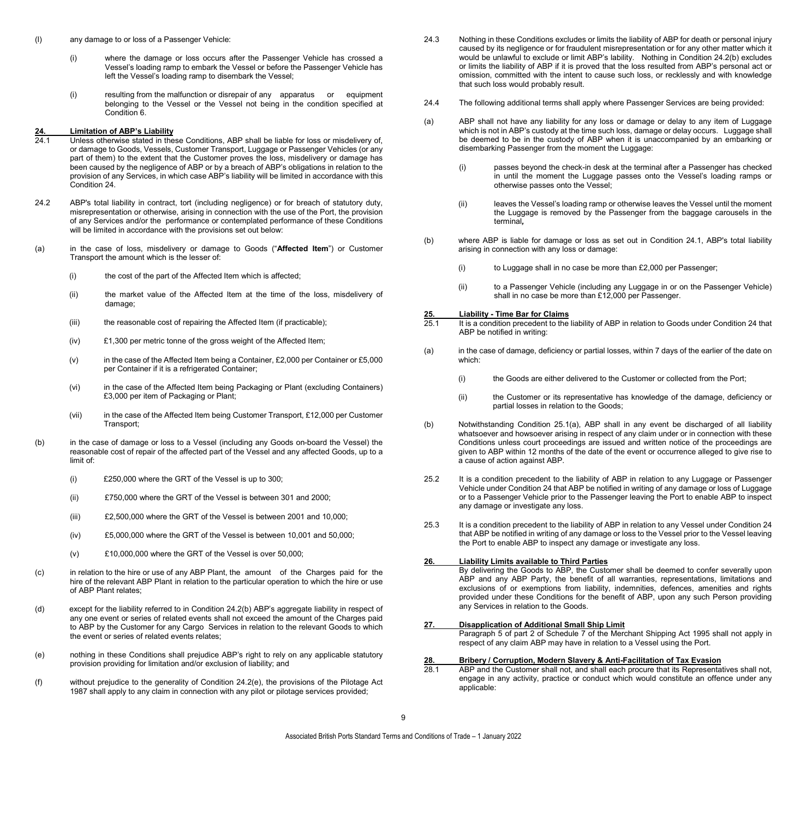- (l) any damage to or loss of a Passenger Vehicle:
	- (i) where the damage or loss occurs after the Passenger Vehicle has crossed a Vessel's loading ramp to embark the Vessel or before the Passenger Vehicle has left the Vessel's loading ramp to disembark the Vessel;
	- (i) resulting from the malfunction or disrepair of any apparatus or equipment belonging to the Vessel or the Vessel not being in the condition specified at Condition 6.

#### **24. Limitation of ABP's Liability**

- Unless otherwise stated in these Conditions, ABP shall be liable for loss or misdelivery of, or damage to Goods, Vessels, Customer Transport, Luggage or Passenger Vehicles (or any part of them) to the extent that the Customer proves the loss, misdelivery or damage has been caused by the negligence of ABP or by a breach of ABP's obligations in relation to the provision of any Services, in which case ABP's liability will be limited in accordance with this Condition 24.
- 24.2 ABP's total liability in contract, tort (including negligence) or for breach of statutory duty, misrepresentation or otherwise, arising in connection with the use of the Port, the provision of any Services and/or the performance or contemplated performance of these Conditions will be limited in accordance with the provisions set out below:
- (a) in the case of loss, misdelivery or damage to Goods ("**Affected Item**") or Customer Transport the amount which is the lesser of:
	- (i) the cost of the part of the Affected Item which is affected;
	- (ii) the market value of the Affected Item at the time of the loss, misdelivery of damage;
	- (iii) the reasonable cost of repairing the Affected Item (if practicable);
	- (iv) £1,300 per metric tonne of the gross weight of the Affected Item;
	- (v) in the case of the Affected Item being a Container, £2,000 per Container or £5,000 per Container if it is a refrigerated Container;
	- (vi) in the case of the Affected Item being Packaging or Plant (excluding Containers) £3,000 per item of Packaging or Plant;
	- (vii) in the case of the Affected Item being Customer Transport, £12,000 per Customer Transport;
- (b) in the case of damage or loss to a Vessel (including any Goods on-board the Vessel) the reasonable cost of repair of the affected part of the Vessel and any affected Goods, up to a limit of:
	- (i) £250,000 where the GRT of the Vessel is up to 300;
	- (ii) £750,000 where the GRT of the Vessel is between 301 and 2000;
	- (iii) £2,500,000 where the GRT of the Vessel is between 2001 and 10,000;
	- (iv) £5,000,000 where the GRT of the Vessel is between 10,001 and 50,000;
	- (v) £10,000,000 where the GRT of the Vessel is over 50,000;
- (c) in relation to the hire or use of any ABP Plant, the amount of the Charges paid for the hire of the relevant ABP Plant in relation to the particular operation to which the hire or use of ABP Plant relates;
- (d) except for the liability referred to in Condition 24.2(b) ABP's aggregate liability in respect of any one event or series of related events shall not exceed the amount of the Charges paid to ABP by the Customer for any Cargo Services in relation to the relevant Goods to which the event or series of related events relates;
- (e) nothing in these Conditions shall prejudice ABP's right to rely on any applicable statutory provision providing for limitation and/or exclusion of liability; and
- (f) without prejudice to the generality of Condition 24.2(e), the provisions of the Pilotage Act 1987 shall apply to any claim in connection with any pilot or pilotage services provided;
- 24.3 Nothing in these Conditions excludes or limits the liability of ABP for death or personal injury caused by its negligence or for fraudulent misrepresentation or for any other matter which it would be unlawful to exclude or limit ABP's lability. Nothing in Condition 24.2(b) excludes or limits the liability of ABP if it is proved that the loss resulted from ABP's personal act or omission, committed with the intent to cause such loss, or recklessly and with knowledge that such loss would probably result.
- 24.4 The following additional terms shall apply where Passenger Services are being provided:
- (a) ABP shall not have any liability for any loss or damage or delay to any item of Luggage which is not in ABP's custody at the time such loss, damage or delay occurs. Luggage shall be deemed to be in the custody of ABP when it is unaccompanied by an embarking or disembarking Passenger from the moment the Luggage:
	- (i) passes beyond the check-in desk at the terminal after a Passenger has checked in until the moment the Luggage passes onto the Vessel's loading ramps or otherwise passes onto the Vessel;
	- (ii) leaves the Vessel's loading ramp or otherwise leaves the Vessel until the moment the Luggage is removed by the Passenger from the baggage carousels in the terminal*,*
- (b) where ABP is liable for damage or loss as set out in Condition 24.1, ABP's total liability arising in connection with any loss or damage:
	- (i) to Luggage shall in no case be more than £2,000 per Passenger;
	- (ii) to a Passenger Vehicle (including any Luggage in or on the Passenger Vehicle) shall in no case be more than £12,000 per Passenger.

# **25. Liability - Time Bar for Claims**

- It is a condition precedent to the liability of ABP in relation to Goods under Condition 24 that ABP be notified in writing:
- (a) in the case of damage, deficiency or partial losses, within 7 days of the earlier of the date on which:
	- (i) the Goods are either delivered to the Customer or collected from the Port;
	- (ii) the Customer or its representative has knowledge of the damage, deficiency or partial losses in relation to the Goods;
- (b) Notwithstanding Condition 25.1(a), ABP shall in any event be discharged of all liability whatsoever and howsoever arising in respect of any claim under or in connection with these Conditions unless court proceedings are issued and written notice of the proceedings are given to ABP within 12 months of the date of the event or occurrence alleged to give rise to a cause of action against ABP.
- 25.2 It is a condition precedent to the liability of ABP in relation to any Luggage or Passenger Vehicle under Condition 24 that ABP be notified in writing of any damage or loss of Luggage or to a Passenger Vehicle prior to the Passenger leaving the Port to enable ABP to inspect any damage or investigate any loss.
- 25.3 It is a condition precedent to the liability of ABP in relation to any Vessel under Condition 24 that ABP be notified in writing of any damage or loss to the Vessel prior to the Vessel leaving the Port to enable ABP to inspect any damage or investigate any loss.

#### **26. Liability Limits available to Third Parties**

By delivering the Goods to ABP, the Customer shall be deemed to confer severally upon ABP and any ABP Party, the benefit of all warranties, representations, limitations and exclusions of or exemptions from liability, indemnities, defences, amenities and rights provided under these Conditions for the benefit of ABP, upon any such Person providing any Services in relation to the Goods.

#### **27. Disapplication of Additional Small Ship Limit**

Paragraph 5 of part 2 of Schedule 7 of the Merchant Shipping Act 1995 shall not apply in respect of any claim ABP may have in relation to a Vessel using the Port.

# **28. Bribery / Corruption, Modern Slavery & Anti-Facilitation of Tax Evasion**

ABP and the Customer shall not, and shall each procure that its Representatives shall not, engage in any activity, practice or conduct which would constitute an offence under any applicable:

9